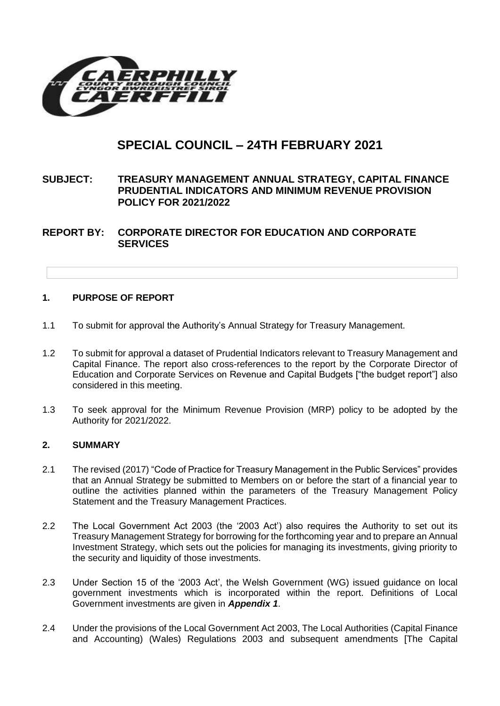

# **SPECIAL COUNCIL – 24TH FEBRUARY 2021**

## **SUBJECT: TREASURY MANAGEMENT ANNUAL STRATEGY, CAPITAL FINANCE PRUDENTIAL INDICATORS AND MINIMUM REVENUE PROVISION POLICY FOR 2021/2022**

**REPORT BY: CORPORATE DIRECTOR FOR EDUCATION AND CORPORATE SERVICES**

## **1. PURPOSE OF REPORT**

- 1.1 To submit for approval the Authority's Annual Strategy for Treasury Management.
- 1.2 To submit for approval a dataset of Prudential Indicators relevant to Treasury Management and Capital Finance. The report also cross-references to the report by the Corporate Director of Education and Corporate Services on Revenue and Capital Budgets ["the budget report"] also considered in this meeting.
- 1.3 To seek approval for the Minimum Revenue Provision (MRP) policy to be adopted by the Authority for 2021/2022.

#### **2. SUMMARY**

- 2.1 The revised (2017) "Code of Practice for Treasury Management in the Public Services" provides that an Annual Strategy be submitted to Members on or before the start of a financial year to outline the activities planned within the parameters of the Treasury Management Policy Statement and the Treasury Management Practices.
- 2.2 The Local Government Act 2003 (the '2003 Act') also requires the Authority to set out its Treasury Management Strategy for borrowing for the forthcoming year and to prepare an Annual Investment Strategy, which sets out the policies for managing its investments, giving priority to the security and liquidity of those investments.
- 2.3 Under Section 15 of the '2003 Act', the Welsh Government (WG) issued guidance on local government investments which is incorporated within the report. Definitions of Local Government investments are given in *Appendix 1*.
- 2.4 Under the provisions of the Local Government Act 2003, The Local Authorities (Capital Finance and Accounting) (Wales) Regulations 2003 and subsequent amendments [The Capital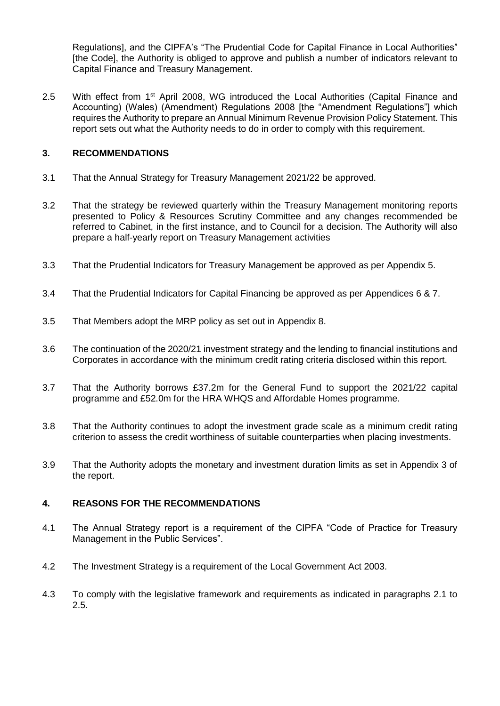Regulations], and the CIPFA's "The Prudential Code for Capital Finance in Local Authorities" [the Code], the Authority is obliged to approve and publish a number of indicators relevant to Capital Finance and Treasury Management.

2.5 With effect from 1<sup>st</sup> April 2008, WG introduced the Local Authorities (Capital Finance and Accounting) (Wales) (Amendment) Regulations 2008 [the "Amendment Regulations"] which requires the Authority to prepare an Annual Minimum Revenue Provision Policy Statement. This report sets out what the Authority needs to do in order to comply with this requirement.

## **3. RECOMMENDATIONS**

- 3.1 That the Annual Strategy for Treasury Management 2021/22 be approved.
- 3.2 That the strategy be reviewed quarterly within the Treasury Management monitoring reports presented to Policy & Resources Scrutiny Committee and any changes recommended be referred to Cabinet, in the first instance, and to Council for a decision. The Authority will also prepare a half-yearly report on Treasury Management activities
- 3.3 That the Prudential Indicators for Treasury Management be approved as per Appendix 5.
- 3.4 That the Prudential Indicators for Capital Financing be approved as per Appendices 6 & 7.
- 3.5 That Members adopt the MRP policy as set out in Appendix 8.
- 3.6 The continuation of the 2020/21 investment strategy and the lending to financial institutions and Corporates in accordance with the minimum credit rating criteria disclosed within this report.
- 3.7 That the Authority borrows £37.2m for the General Fund to support the 2021/22 capital programme and £52.0m for the HRA WHQS and Affordable Homes programme.
- 3.8 That the Authority continues to adopt the investment grade scale as a minimum credit rating criterion to assess the credit worthiness of suitable counterparties when placing investments.
- 3.9 That the Authority adopts the monetary and investment duration limits as set in Appendix 3 of the report.

## **4. REASONS FOR THE RECOMMENDATIONS**

- 4.1 The Annual Strategy report is a requirement of the CIPFA "Code of Practice for Treasury Management in the Public Services".
- 4.2 The Investment Strategy is a requirement of the Local Government Act 2003.
- 4.3 To comply with the legislative framework and requirements as indicated in paragraphs 2.1 to 2.5.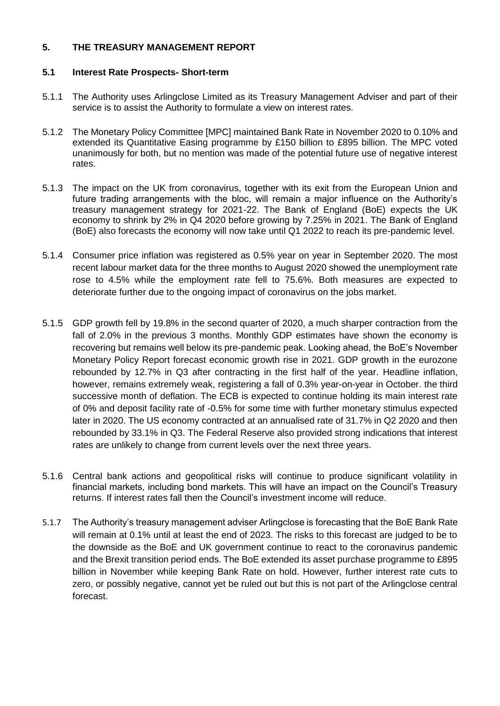## **5. THE TREASURY MANAGEMENT REPORT**

## **5.1 Interest Rate Prospects- Short-term**

- 5.1.1 The Authority uses Arlingclose Limited as its Treasury Management Adviser and part of their service is to assist the Authority to formulate a view on interest rates.
- 5.1.2 The Monetary Policy Committee [MPC] maintained Bank Rate in November 2020 to 0.10% and extended its Quantitative Easing programme by £150 billion to £895 billion. The MPC voted unanimously for both, but no mention was made of the potential future use of negative interest rates.
- 5.1.3 The impact on the UK from coronavirus, together with its exit from the European Union and future trading arrangements with the bloc, will remain a major influence on the Authority's treasury management strategy for 2021-22. The Bank of England (BoE) expects the UK economy to shrink by 2% in Q4 2020 before growing by 7.25% in 2021. The Bank of England (BoE) also forecasts the economy will now take until Q1 2022 to reach its pre-pandemic level.
- 5.1.4 Consumer price inflation was registered as 0.5% year on year in September 2020. The most recent labour market data for the three months to August 2020 showed the unemployment rate rose to 4.5% while the employment rate fell to 75.6%. Both measures are expected to deteriorate further due to the ongoing impact of coronavirus on the jobs market.
- 5.1.5 GDP growth fell by 19.8% in the second quarter of 2020, a much sharper contraction from the fall of 2.0% in the previous 3 months. Monthly GDP estimates have shown the economy is recovering but remains well below its pre-pandemic peak. Looking ahead, the BoE's November Monetary Policy Report forecast economic growth rise in 2021. GDP growth in the eurozone rebounded by 12.7% in Q3 after contracting in the first half of the year. Headline inflation, however, remains extremely weak, registering a fall of 0.3% year-on-year in October. the third successive month of deflation. The ECB is expected to continue holding its main interest rate of 0% and deposit facility rate of -0.5% for some time with further monetary stimulus expected later in 2020. The US economy contracted at an annualised rate of 31.7% in Q2 2020 and then rebounded by 33.1% in Q3. The Federal Reserve also provided strong indications that interest rates are unlikely to change from current levels over the next three years.
- 5.1.6 Central bank actions and geopolitical risks will continue to produce significant volatility in financial markets, including bond markets. This will have an impact on the Council's Treasury returns. If interest rates fall then the Council's investment income will reduce.
- 5.1.7 The Authority's treasury management adviser Arlingclose is forecasting that the BoE Bank Rate will remain at 0.1% until at least the end of 2023. The risks to this forecast are judged to be to the downside as the BoE and UK government continue to react to the coronavirus pandemic and the Brexit transition period ends. The BoE extended its asset purchase programme to £895 billion in November while keeping Bank Rate on hold. However, further interest rate cuts to zero, or possibly negative, cannot yet be ruled out but this is not part of the Arlingclose central forecast.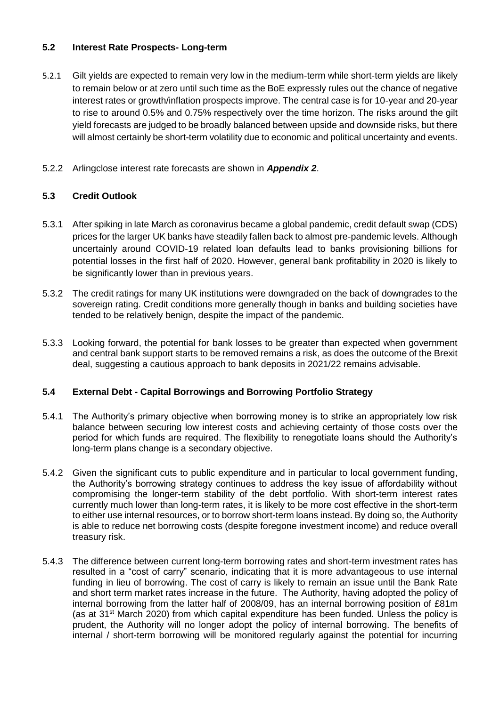## **5.2 Interest Rate Prospects- Long-term**

- 5.2.1 Gilt yields are expected to remain very low in the medium-term while short-term yields are likely to remain below or at zero until such time as the BoE expressly rules out the chance of negative interest rates or growth/inflation prospects improve. The central case is for 10-year and 20-year to rise to around 0.5% and 0.75% respectively over the time horizon. The risks around the gilt yield forecasts are judged to be broadly balanced between upside and downside risks, but there will almost certainly be short-term volatility due to economic and political uncertainty and events.
- 5.2.2 Arlingclose interest rate forecasts are shown in *Appendix 2*.

## **5.3 Credit Outlook**

- 5.3.1 After spiking in late March as coronavirus became a global pandemic, credit default swap (CDS) prices for the larger UK banks have steadily fallen back to almost pre-pandemic levels. Although uncertainly around COVID-19 related loan defaults lead to banks provisioning billions for potential losses in the first half of 2020. However, general bank profitability in 2020 is likely to be significantly lower than in previous years.
- 5.3.2 The credit ratings for many UK institutions were downgraded on the back of downgrades to the sovereign rating. Credit conditions more generally though in banks and building societies have tended to be relatively benign, despite the impact of the pandemic.
- 5.3.3 Looking forward, the potential for bank losses to be greater than expected when government and central bank support starts to be removed remains a risk, as does the outcome of the Brexit deal, suggesting a cautious approach to bank deposits in 2021/22 remains advisable.

## **5.4 External Debt - Capital Borrowings and Borrowing Portfolio Strategy**

- 5.4.1 The Authority's primary objective when borrowing money is to strike an appropriately low risk balance between securing low interest costs and achieving certainty of those costs over the period for which funds are required. The flexibility to renegotiate loans should the Authority's long-term plans change is a secondary objective.
- 5.4.2 Given the significant cuts to public expenditure and in particular to local government funding, the Authority's borrowing strategy continues to address the key issue of affordability without compromising the longer-term stability of the debt portfolio. With short-term interest rates currently much lower than long-term rates, it is likely to be more cost effective in the short-term to either use internal resources, or to borrow short-term loans instead. By doing so, the Authority is able to reduce net borrowing costs (despite foregone investment income) and reduce overall treasury risk.
- 5.4.3 The difference between current long-term borrowing rates and short-term investment rates has resulted in a "cost of carry" scenario, indicating that it is more advantageous to use internal funding in lieu of borrowing. The cost of carry is likely to remain an issue until the Bank Rate and short term market rates increase in the future. The Authority, having adopted the policy of internal borrowing from the latter half of 2008/09, has an internal borrowing position of £81m (as at  $31<sup>st</sup>$  March 2020) from which capital expenditure has been funded. Unless the policy is prudent, the Authority will no longer adopt the policy of internal borrowing. The benefits of internal / short-term borrowing will be monitored regularly against the potential for incurring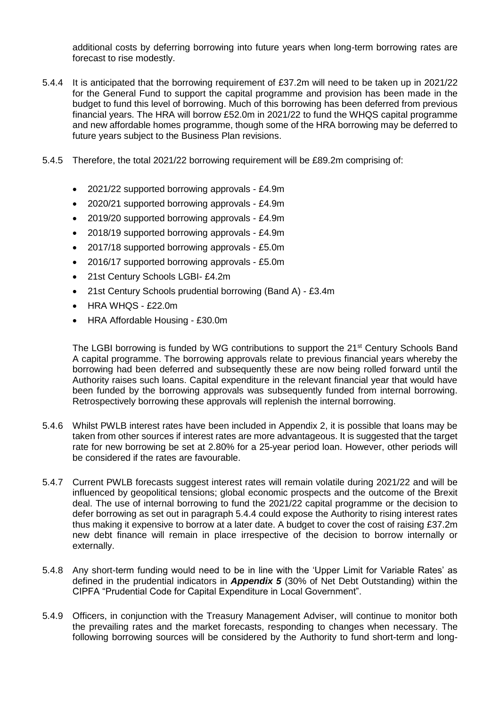additional costs by deferring borrowing into future years when long-term borrowing rates are forecast to rise modestly.

- 5.4.4 It is anticipated that the borrowing requirement of £37.2m will need to be taken up in 2021/22 for the General Fund to support the capital programme and provision has been made in the budget to fund this level of borrowing. Much of this borrowing has been deferred from previous financial years. The HRA will borrow £52.0m in 2021/22 to fund the WHQS capital programme and new affordable homes programme, though some of the HRA borrowing may be deferred to future years subject to the Business Plan revisions.
- 5.4.5 Therefore, the total 2021/22 borrowing requirement will be £89.2m comprising of:
	- 2021/22 supported borrowing approvals £4.9m
	- 2020/21 supported borrowing approvals £4.9m
	- 2019/20 supported borrowing approvals £4.9m
	- 2018/19 supported borrowing approvals £4.9m
	- 2017/18 supported borrowing approvals £5.0m
	- 2016/17 supported borrowing approvals £5.0m
	- 21st Century Schools LGBI- £4.2m
	- 21st Century Schools prudential borrowing (Band A) £3.4m
	- HRA WHQS £22.0m
	- HRA Affordable Housing £30.0m

The LGBI borrowing is funded by WG contributions to support the 21<sup>st</sup> Century Schools Band A capital programme. The borrowing approvals relate to previous financial years whereby the borrowing had been deferred and subsequently these are now being rolled forward until the Authority raises such loans. Capital expenditure in the relevant financial year that would have been funded by the borrowing approvals was subsequently funded from internal borrowing. Retrospectively borrowing these approvals will replenish the internal borrowing.

- 5.4.6 Whilst PWLB interest rates have been included in Appendix 2, it is possible that loans may be taken from other sources if interest rates are more advantageous. It is suggested that the target rate for new borrowing be set at 2.80% for a 25-year period loan. However, other periods will be considered if the rates are favourable.
- 5.4.7 Current PWLB forecasts suggest interest rates will remain volatile during 2021/22 and will be influenced by geopolitical tensions; global economic prospects and the outcome of the Brexit deal. The use of internal borrowing to fund the 2021/22 capital programme or the decision to defer borrowing as set out in paragraph 5.4.4 could expose the Authority to rising interest rates thus making it expensive to borrow at a later date. A budget to cover the cost of raising £37.2m new debt finance will remain in place irrespective of the decision to borrow internally or externally.
- 5.4.8 Any short-term funding would need to be in line with the 'Upper Limit for Variable Rates' as defined in the prudential indicators in *Appendix 5* (30% of Net Debt Outstanding) within the CIPFA "Prudential Code for Capital Expenditure in Local Government".
- 5.4.9 Officers, in conjunction with the Treasury Management Adviser, will continue to monitor both the prevailing rates and the market forecasts, responding to changes when necessary. The following borrowing sources will be considered by the Authority to fund short-term and long-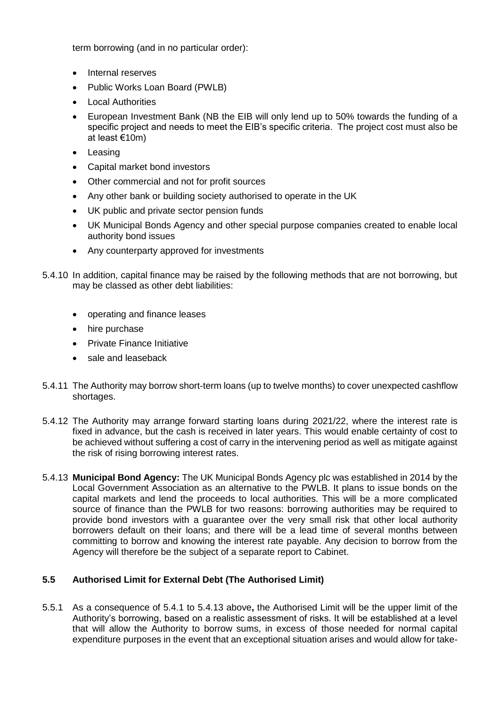term borrowing (and in no particular order):

- Internal reserves
- Public Works Loan Board (PWLB)
- Local Authorities
- European Investment Bank (NB the EIB will only lend up to 50% towards the funding of a specific project and needs to meet the EIB's specific criteria. The project cost must also be at least €10m)
- Leasing
- Capital market bond investors
- Other commercial and not for profit sources
- Any other bank or building society authorised to operate in the UK
- UK public and private sector pension funds
- UK Municipal Bonds Agency and other special purpose companies created to enable local authority bond issues
- Any counterparty approved for investments
- 5.4.10 In addition, capital finance may be raised by the following methods that are not borrowing, but may be classed as other debt liabilities:
	- operating and finance leases
	- hire purchase
	- Private Finance Initiative
	- sale and leaseback
- 5.4.11 The Authority may borrow short-term loans (up to twelve months) to cover unexpected cashflow shortages.
- 5.4.12 The Authority may arrange forward starting loans during 2021/22, where the interest rate is fixed in advance, but the cash is received in later years. This would enable certainty of cost to be achieved without suffering a cost of carry in the intervening period as well as mitigate against the risk of rising borrowing interest rates.
- 5.4.13 **Municipal Bond Agency:** The UK Municipal Bonds Agency plc was established in 2014 by the Local Government Association as an alternative to the PWLB. It plans to issue bonds on the capital markets and lend the proceeds to local authorities. This will be a more complicated source of finance than the PWLB for two reasons: borrowing authorities may be required to provide bond investors with a guarantee over the very small risk that other local authority borrowers default on their loans; and there will be a lead time of several months between committing to borrow and knowing the interest rate payable. Any decision to borrow from the Agency will therefore be the subject of a separate report to Cabinet.

## **5.5 Authorised Limit for External Debt (The Authorised Limit)**

5.5.1 As a consequence of 5.4.1 to 5.4.13 above**,** the Authorised Limit will be the upper limit of the Authority's borrowing, based on a realistic assessment of risks. It will be established at a level that will allow the Authority to borrow sums, in excess of those needed for normal capital expenditure purposes in the event that an exceptional situation arises and would allow for take-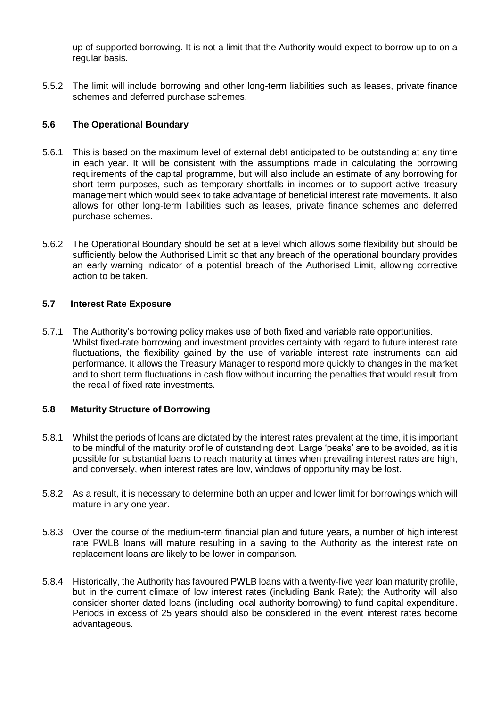up of supported borrowing. It is not a limit that the Authority would expect to borrow up to on a regular basis.

5.5.2 The limit will include borrowing and other long-term liabilities such as leases, private finance schemes and deferred purchase schemes.

## **5.6 The Operational Boundary**

- 5.6.1 This is based on the maximum level of external debt anticipated to be outstanding at any time in each year. It will be consistent with the assumptions made in calculating the borrowing requirements of the capital programme, but will also include an estimate of any borrowing for short term purposes, such as temporary shortfalls in incomes or to support active treasury management which would seek to take advantage of beneficial interest rate movements. It also allows for other long-term liabilities such as leases, private finance schemes and deferred purchase schemes.
- 5.6.2 The Operational Boundary should be set at a level which allows some flexibility but should be sufficiently below the Authorised Limit so that any breach of the operational boundary provides an early warning indicator of a potential breach of the Authorised Limit, allowing corrective action to be taken.

## **5.7 Interest Rate Exposure**

5.7.1 The Authority's borrowing policy makes use of both fixed and variable rate opportunities. Whilst fixed-rate borrowing and investment provides certainty with regard to future interest rate fluctuations, the flexibility gained by the use of variable interest rate instruments can aid performance. It allows the Treasury Manager to respond more quickly to changes in the market and to short term fluctuations in cash flow without incurring the penalties that would result from the recall of fixed rate investments.

## **5.8 Maturity Structure of Borrowing**

- 5.8.1 Whilst the periods of loans are dictated by the interest rates prevalent at the time, it is important to be mindful of the maturity profile of outstanding debt. Large 'peaks' are to be avoided, as it is possible for substantial loans to reach maturity at times when prevailing interest rates are high, and conversely, when interest rates are low, windows of opportunity may be lost.
- 5.8.2 As a result, it is necessary to determine both an upper and lower limit for borrowings which will mature in any one year.
- 5.8.3 Over the course of the medium-term financial plan and future years, a number of high interest rate PWLB loans will mature resulting in a saving to the Authority as the interest rate on replacement loans are likely to be lower in comparison.
- 5.8.4 Historically, the Authority has favoured PWLB loans with a twenty-five year loan maturity profile, but in the current climate of low interest rates (including Bank Rate); the Authority will also consider shorter dated loans (including local authority borrowing) to fund capital expenditure. Periods in excess of 25 years should also be considered in the event interest rates become advantageous.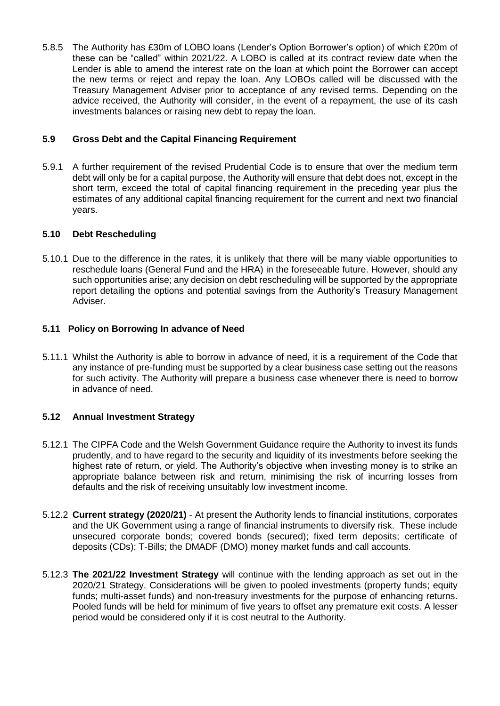5.8.5 The Authority has £30m of LOBO loans (Lender's Option Borrower's option) of which £20m of these can be "called" within 2021/22. A LOBO is called at its contract review date when the Lender is able to amend the interest rate on the loan at which point the Borrower can accept the new terms or reject and repay the loan. Any LOBOs called will be discussed with the Treasury Management Adviser prior to acceptance of any revised terms. Depending on the advice received, the Authority will consider, in the event of a repayment, the use of its cash investments balances or raising new debt to repay the loan.

## **5.9 Gross Debt and the Capital Financing Requirement**

5.9.1 A further requirement of the revised Prudential Code is to ensure that over the medium term debt will only be for a capital purpose, the Authority will ensure that debt does not, except in the short term, exceed the total of capital financing requirement in the preceding year plus the estimates of any additional capital financing requirement for the current and next two financial years.

## **5.10 Debt Rescheduling**

5.10.1 Due to the difference in the rates, it is unlikely that there will be many viable opportunities to reschedule loans (General Fund and the HRA) in the foreseeable future. However, should any such opportunities arise; any decision on debt rescheduling will be supported by the appropriate report detailing the options and potential savings from the Authority's Treasury Management Adviser.

## **5.11 Policy on Borrowing In advance of Need**

5.11.1 Whilst the Authority is able to borrow in advance of need, it is a requirement of the Code that any instance of pre-funding must be supported by a clear business case setting out the reasons for such activity. The Authority will prepare a business case whenever there is need to borrow in advance of need.

## **5.12 Annual Investment Strategy**

- 5.12.1 The CIPFA Code and the Welsh Government Guidance require the Authority to invest its funds prudently, and to have regard to the security and liquidity of its investments before seeking the highest rate of return, or yield. The Authority's objective when investing money is to strike an appropriate balance between risk and return, minimising the risk of incurring losses from defaults and the risk of receiving unsuitably low investment income.
- 5.12.2 **Current strategy (2020/21)** At present the Authority lends to financial institutions, corporates and the UK Government using a range of financial instruments to diversify risk. These include unsecured corporate bonds; covered bonds (secured); fixed term deposits; certificate of deposits (CDs); T-Bills; the DMADF (DMO) money market funds and call accounts.
- 5.12.3 **The 2021/22 Investment Strategy** will continue with the lending approach as set out in the 2020/21 Strategy. Considerations will be given to pooled investments (property funds; equity funds; multi-asset funds) and non-treasury investments for the purpose of enhancing returns. Pooled funds will be held for minimum of five years to offset any premature exit costs. A lesser period would be considered only if it is cost neutral to the Authority.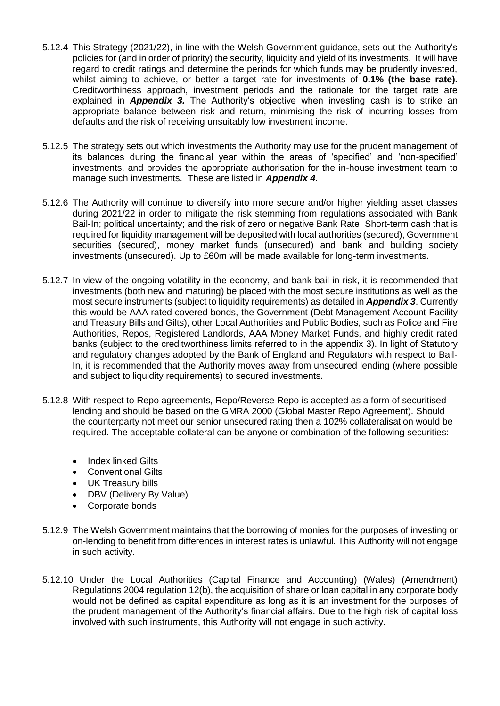- 5.12.4 This Strategy (2021/22), in line with the Welsh Government guidance, sets out the Authority's policies for (and in order of priority) the security, liquidity and yield of its investments. It will have regard to credit ratings and determine the periods for which funds may be prudently invested, whilst aiming to achieve, or better a target rate for investments of **0.1% (the base rate).** Creditworthiness approach, investment periods and the rationale for the target rate are explained in *Appendix 3.* The Authority's objective when investing cash is to strike an appropriate balance between risk and return, minimising the risk of incurring losses from defaults and the risk of receiving unsuitably low investment income.
- 5.12.5 The strategy sets out which investments the Authority may use for the prudent management of its balances during the financial year within the areas of 'specified' and 'non-specified' investments, and provides the appropriate authorisation for the in-house investment team to manage such investments. These are listed in *Appendix 4.*
- 5.12.6 The Authority will continue to diversify into more secure and/or higher yielding asset classes during 2021/22 in order to mitigate the risk stemming from regulations associated with Bank Bail-In; political uncertainty; and the risk of zero or negative Bank Rate. Short-term cash that is required for liquidity management will be deposited with local authorities (secured), Government securities (secured), money market funds (unsecured) and bank and building society investments (unsecured). Up to £60m will be made available for long-term investments.
- 5.12.7 In view of the ongoing volatility in the economy, and bank bail in risk, it is recommended that investments (both new and maturing) be placed with the most secure institutions as well as the most secure instruments (subject to liquidity requirements) as detailed in *Appendix 3*. Currently this would be AAA rated covered bonds, the Government (Debt Management Account Facility and Treasury Bills and Gilts), other Local Authorities and Public Bodies, such as Police and Fire Authorities, Repos, Registered Landlords, AAA Money Market Funds, and highly credit rated banks (subject to the creditworthiness limits referred to in the appendix 3). In light of Statutory and regulatory changes adopted by the Bank of England and Regulators with respect to Bail-In, it is recommended that the Authority moves away from unsecured lending (where possible and subject to liquidity requirements) to secured investments.
- 5.12.8 With respect to Repo agreements, Repo/Reverse Repo is accepted as a form of securitised lending and should be based on the GMRA 2000 (Global Master Repo Agreement). Should the counterparty not meet our senior unsecured rating then a 102% collateralisation would be required. The acceptable collateral can be anyone or combination of the following securities:
	- Index linked Gilts
	- Conventional Gilts
	- UK Treasury bills
	- DBV (Delivery By Value)
	- Corporate bonds
- 5.12.9 The Welsh Government maintains that the borrowing of monies for the purposes of investing or on-lending to benefit from differences in interest rates is unlawful. This Authority will not engage in such activity.
- 5.12.10 Under the Local Authorities (Capital Finance and Accounting) (Wales) (Amendment) Regulations 2004 regulation 12(b), the acquisition of share or loan capital in any corporate body would not be defined as capital expenditure as long as it is an investment for the purposes of the prudent management of the Authority's financial affairs. Due to the high risk of capital loss involved with such instruments, this Authority will not engage in such activity.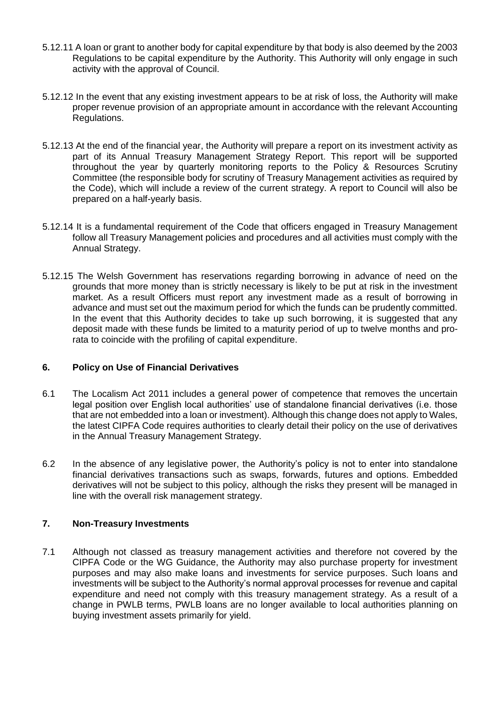- 5.12.11 A loan or grant to another body for capital expenditure by that body is also deemed by the 2003 Regulations to be capital expenditure by the Authority. This Authority will only engage in such activity with the approval of Council.
- 5.12.12 In the event that any existing investment appears to be at risk of loss, the Authority will make proper revenue provision of an appropriate amount in accordance with the relevant Accounting Regulations.
- 5.12.13 At the end of the financial year, the Authority will prepare a report on its investment activity as part of its Annual Treasury Management Strategy Report. This report will be supported throughout the year by quarterly monitoring reports to the Policy & Resources Scrutiny Committee (the responsible body for scrutiny of Treasury Management activities as required by the Code), which will include a review of the current strategy. A report to Council will also be prepared on a half-yearly basis.
- 5.12.14 It is a fundamental requirement of the Code that officers engaged in Treasury Management follow all Treasury Management policies and procedures and all activities must comply with the Annual Strategy.
- 5.12.15 The Welsh Government has reservations regarding borrowing in advance of need on the grounds that more money than is strictly necessary is likely to be put at risk in the investment market. As a result Officers must report any investment made as a result of borrowing in advance and must set out the maximum period for which the funds can be prudently committed. In the event that this Authority decides to take up such borrowing, it is suggested that any deposit made with these funds be limited to a maturity period of up to twelve months and prorata to coincide with the profiling of capital expenditure.

## **6. Policy on Use of Financial Derivatives**

- 6.1 The Localism Act 2011 includes a general power of competence that removes the uncertain legal position over English local authorities' use of standalone financial derivatives (i.e. those that are not embedded into a loan or investment). Although this change does not apply to Wales, the latest CIPFA Code requires authorities to clearly detail their policy on the use of derivatives in the Annual Treasury Management Strategy.
- 6.2 In the absence of any legislative power, the Authority's policy is not to enter into standalone financial derivatives transactions such as swaps, forwards, futures and options. Embedded derivatives will not be subject to this policy, although the risks they present will be managed in line with the overall risk management strategy.

## **7. Non-Treasury Investments**

7.1 Although not classed as treasury management activities and therefore not covered by the CIPFA Code or the WG Guidance, the Authority may also purchase property for investment purposes and may also make loans and investments for service purposes. Such loans and investments will be subject to the Authority's normal approval processes for revenue and capital expenditure and need not comply with this treasury management strategy. As a result of a change in PWLB terms, PWLB loans are no longer available to local authorities planning on buying investment assets primarily for yield.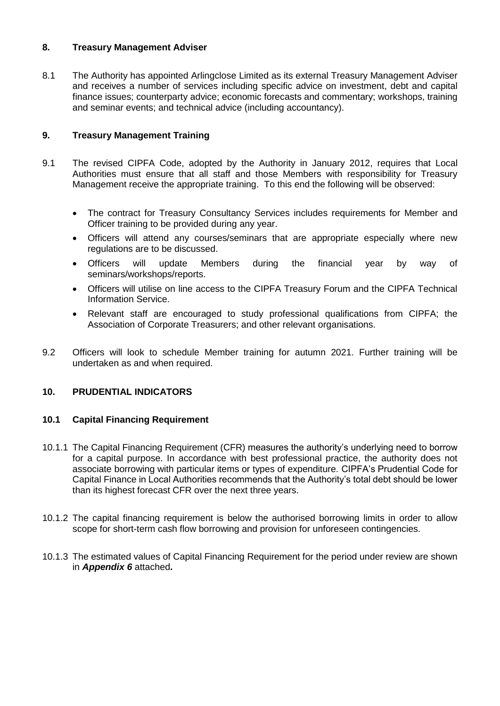## **8. Treasury Management Adviser**

8.1 The Authority has appointed Arlingclose Limited as its external Treasury Management Adviser and receives a number of services including specific advice on investment, debt and capital finance issues; counterparty advice; economic forecasts and commentary; workshops, training and seminar events; and technical advice (including accountancy).

## **9. Treasury Management Training**

- 9.1 The revised CIPFA Code, adopted by the Authority in January 2012, requires that Local Authorities must ensure that all staff and those Members with responsibility for Treasury Management receive the appropriate training. To this end the following will be observed:
	- The contract for Treasury Consultancy Services includes requirements for Member and Officer training to be provided during any year.
	- Officers will attend any courses/seminars that are appropriate especially where new regulations are to be discussed.
	- Officers will update Members during the financial year by way of seminars/workshops/reports.
	- Officers will utilise on line access to the CIPFA Treasury Forum and the CIPFA Technical Information Service.
	- Relevant staff are encouraged to study professional qualifications from CIPFA; the Association of Corporate Treasurers; and other relevant organisations.
- 9.2 Officers will look to schedule Member training for autumn 2021. Further training will be undertaken as and when required.

## **10. PRUDENTIAL INDICATORS**

## **10.1 Capital Financing Requirement**

- 10.1.1 The Capital Financing Requirement (CFR) measures the authority's underlying need to borrow for a capital purpose. In accordance with best professional practice, the authority does not associate borrowing with particular items or types of expenditure. CIPFA's Prudential Code for Capital Finance in Local Authorities recommends that the Authority's total debt should be lower than its highest forecast CFR over the next three years.
- 10.1.2 The capital financing requirement is below the authorised borrowing limits in order to allow scope for short-term cash flow borrowing and provision for unforeseen contingencies.
- 10.1.3 The estimated values of Capital Financing Requirement for the period under review are shown in *Appendix 6* attached**.**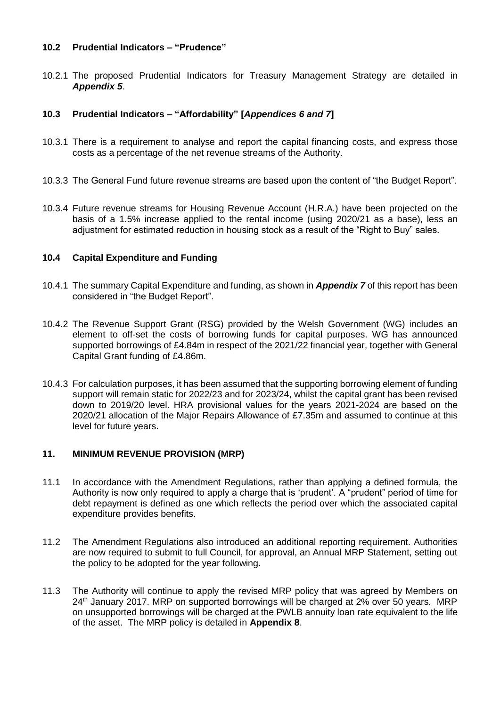#### **10.2 Prudential Indicators – "Prudence"**

10.2.1 The proposed Prudential Indicators for Treasury Management Strategy are detailed in *Appendix 5*.

## **10.3 Prudential Indicators – "Affordability" [***Appendices 6 and 7***]**

- 10.3.1 There is a requirement to analyse and report the capital financing costs, and express those costs as a percentage of the net revenue streams of the Authority.
- 10.3.3 The General Fund future revenue streams are based upon the content of "the Budget Report".
- 10.3.4 Future revenue streams for Housing Revenue Account (H.R.A.) have been projected on the basis of a 1.5% increase applied to the rental income (using 2020/21 as a base), less an adjustment for estimated reduction in housing stock as a result of the "Right to Buy" sales.

## **10.4 Capital Expenditure and Funding**

- 10.4.1 The summary Capital Expenditure and funding, as shown in *Appendix 7* of this report has been considered in "the Budget Report".
- 10.4.2 The Revenue Support Grant (RSG) provided by the Welsh Government (WG) includes an element to off-set the costs of borrowing funds for capital purposes. WG has announced supported borrowings of £4.84m in respect of the 2021/22 financial year, together with General Capital Grant funding of £4.86m.
- 10.4.3 For calculation purposes, it has been assumed that the supporting borrowing element of funding support will remain static for 2022/23 and for 2023/24, whilst the capital grant has been revised down to 2019/20 level. HRA provisional values for the years 2021-2024 are based on the 2020/21 allocation of the Major Repairs Allowance of £7.35m and assumed to continue at this level for future years.

## **11. MINIMUM REVENUE PROVISION (MRP)**

- 11.1 In accordance with the Amendment Regulations, rather than applying a defined formula, the Authority is now only required to apply a charge that is 'prudent'. A "prudent" period of time for debt repayment is defined as one which reflects the period over which the associated capital expenditure provides benefits.
- 11.2 The Amendment Regulations also introduced an additional reporting requirement. Authorities are now required to submit to full Council, for approval, an Annual MRP Statement, setting out the policy to be adopted for the year following.
- 11.3 The Authority will continue to apply the revised MRP policy that was agreed by Members on 24<sup>th</sup> January 2017. MRP on supported borrowings will be charged at 2% over 50 years. MRP on unsupported borrowings will be charged at the PWLB annuity loan rate equivalent to the life of the asset. The MRP policy is detailed in **Appendix 8**.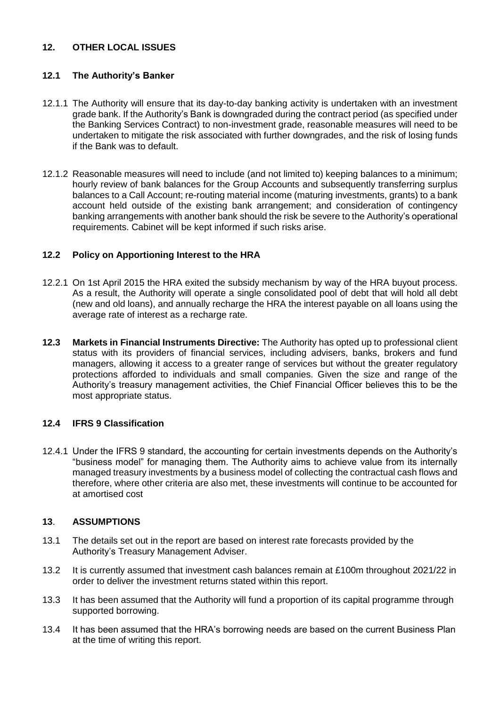## **12. OTHER LOCAL ISSUES**

## **12.1 The Authority's Banker**

- 12.1.1 The Authority will ensure that its day-to-day banking activity is undertaken with an investment grade bank. If the Authority's Bank is downgraded during the contract period (as specified under the Banking Services Contract) to non-investment grade, reasonable measures will need to be undertaken to mitigate the risk associated with further downgrades, and the risk of losing funds if the Bank was to default.
- 12.1.2 Reasonable measures will need to include (and not limited to) keeping balances to a minimum; hourly review of bank balances for the Group Accounts and subsequently transferring surplus balances to a Call Account; re-routing material income (maturing investments, grants) to a bank account held outside of the existing bank arrangement; and consideration of contingency banking arrangements with another bank should the risk be severe to the Authority's operational requirements. Cabinet will be kept informed if such risks arise.

## **12.2 Policy on Apportioning Interest to the HRA**

- 12.2.1 On 1st April 2015 the HRA exited the subsidy mechanism by way of the HRA buyout process. As a result, the Authority will operate a single consolidated pool of debt that will hold all debt (new and old loans), and annually recharge the HRA the interest payable on all loans using the average rate of interest as a recharge rate.
- **12.3 Markets in Financial Instruments Directive:** The Authority has opted up to professional client status with its providers of financial services, including advisers, banks, brokers and fund managers, allowing it access to a greater range of services but without the greater regulatory protections afforded to individuals and small companies. Given the size and range of the Authority's treasury management activities, the Chief Financial Officer believes this to be the most appropriate status.

## **12.4 IFRS 9 Classification**

12.4.1 Under the IFRS 9 standard, the accounting for certain investments depends on the Authority's "business model" for managing them. The Authority aims to achieve value from its internally managed treasury investments by a business model of collecting the contractual cash flows and therefore, where other criteria are also met, these investments will continue to be accounted for at amortised cost

## **13**. **ASSUMPTIONS**

- 13.1 The details set out in the report are based on interest rate forecasts provided by the Authority's Treasury Management Adviser.
- 13.2 It is currently assumed that investment cash balances remain at £100m throughout 2021/22 in order to deliver the investment returns stated within this report.
- 13.3 It has been assumed that the Authority will fund a proportion of its capital programme through supported borrowing.
- 13.4 It has been assumed that the HRA's borrowing needs are based on the current Business Plan at the time of writing this report.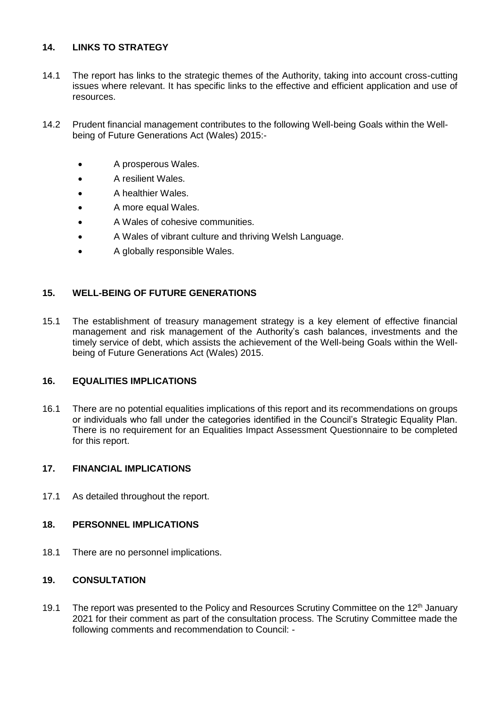## **14. LINKS TO STRATEGY**

- 14.1 The report has links to the strategic themes of the Authority, taking into account cross-cutting issues where relevant. It has specific links to the effective and efficient application and use of resources.
- 14.2 Prudent financial management contributes to the following Well-being Goals within the Wellbeing of Future Generations Act (Wales) 2015:-
	- A prosperous Wales.
	- A resilient Wales.
	- A healthier Wales.
	- A more equal Wales.
	- A Wales of cohesive communities.
	- A Wales of vibrant culture and thriving Welsh Language.
	- A globally responsible Wales.

## **15. WELL-BEING OF FUTURE GENERATIONS**

15.1 The establishment of treasury management strategy is a key element of effective financial management and risk management of the Authority's cash balances, investments and the timely service of debt, which assists the achievement of the Well-being Goals within the Wellbeing of Future Generations Act (Wales) 2015.

## **16. EQUALITIES IMPLICATIONS**

16.1 There are no potential equalities implications of this report and its recommendations on groups or individuals who fall under the categories identified in the Council's Strategic Equality Plan. There is no requirement for an Equalities Impact Assessment Questionnaire to be completed for this report.

## **17. FINANCIAL IMPLICATIONS**

17.1 As detailed throughout the report.

## **18. PERSONNEL IMPLICATIONS**

18.1 There are no personnel implications.

## **19. CONSULTATION**

19.1 The report was presented to the Policy and Resources Scrutiny Committee on the 12<sup>th</sup> January 2021 for their comment as part of the consultation process. The Scrutiny Committee made the following comments and recommendation to Council: -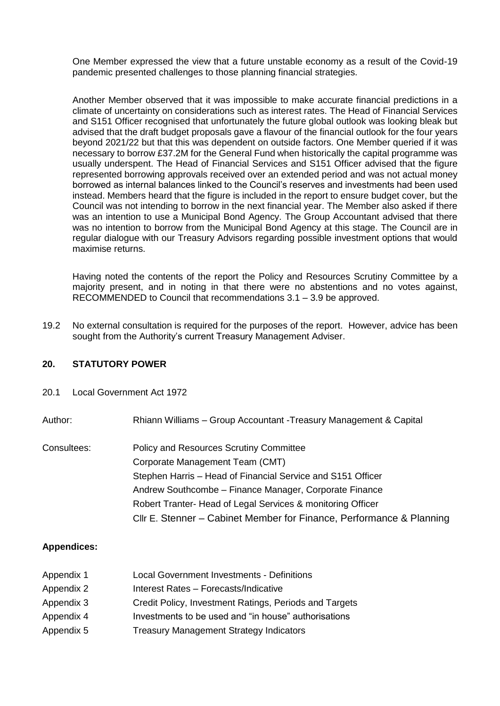One Member expressed the view that a future unstable economy as a result of the Covid-19 pandemic presented challenges to those planning financial strategies.

Another Member observed that it was impossible to make accurate financial predictions in a climate of uncertainty on considerations such as interest rates. The Head of Financial Services and S151 Officer recognised that unfortunately the future global outlook was looking bleak but advised that the draft budget proposals gave a flavour of the financial outlook for the four years beyond 2021/22 but that this was dependent on outside factors. One Member queried if it was necessary to borrow £37.2M for the General Fund when historically the capital programme was usually underspent. The Head of Financial Services and S151 Officer advised that the figure represented borrowing approvals received over an extended period and was not actual money borrowed as internal balances linked to the Council's reserves and investments had been used instead. Members heard that the figure is included in the report to ensure budget cover, but the Council was not intending to borrow in the next financial year. The Member also asked if there was an intention to use a Municipal Bond Agency. The Group Accountant advised that there was no intention to borrow from the Municipal Bond Agency at this stage. The Council are in regular dialogue with our Treasury Advisors regarding possible investment options that would maximise returns.

Having noted the contents of the report the Policy and Resources Scrutiny Committee by a majority present, and in noting in that there were no abstentions and no votes against, RECOMMENDED to Council that recommendations 3.1 – 3.9 be approved.

19.2 No external consultation is required for the purposes of the report. However, advice has been sought from the Authority's current Treasury Management Adviser.

## **20. STATUTORY POWER**

20.1 Local Government Act 1972

Author: Rhiann Williams – Group Accountant -Treasury Management & Capital

Consultees: Policy and Resources Scrutiny Committee Corporate Management Team (CMT) Stephen Harris – Head of Financial Service and S151 Officer Andrew Southcombe – Finance Manager, Corporate Finance Robert Tranter- Head of Legal Services & monitoring Officer Cllr E. Stenner – Cabinet Member for Finance, Performance & Planning

## **Appendices:**

Appendix 1 Local Government Investments - Definitions Appendix 2 Interest Rates – Forecasts/Indicative Appendix 3 Credit Policy, Investment Ratings, Periods and Targets Appendix 4 Investments to be used and "in house" authorisations Appendix 5 Treasury Management Strategy Indicators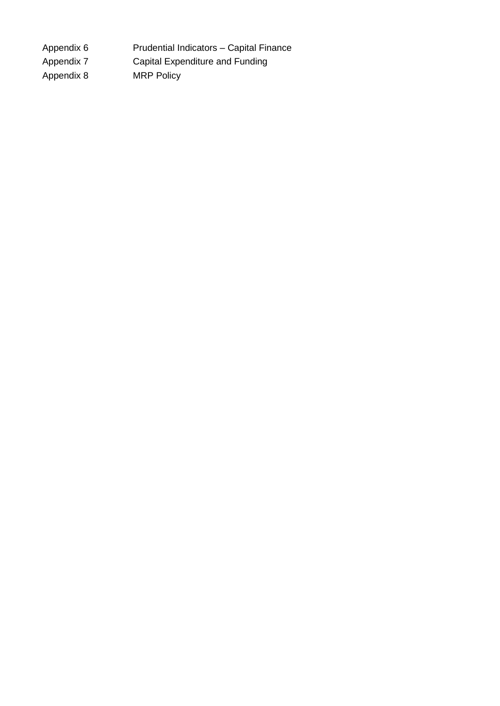Appendix 6 Prudential Indicators – Capital Finance Appendix 7 Capital Expenditure and Funding Appendix 8 MRP Policy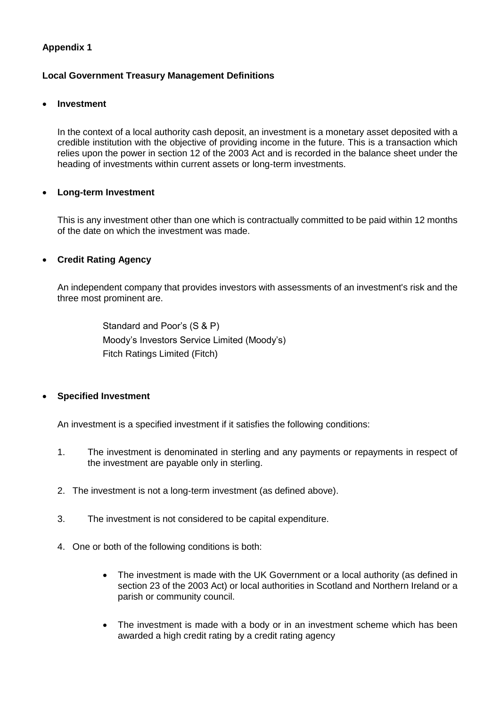## **Appendix 1**

## **Local Government Treasury Management Definitions**

#### **Investment**

In the context of a local authority cash deposit, an investment is a monetary asset deposited with a credible institution with the objective of providing income in the future. This is a transaction which relies upon the power in section 12 of the 2003 Act and is recorded in the balance sheet under the heading of investments within current assets or long-term investments.

## **Long-term Investment**

This is any investment other than one which is contractually committed to be paid within 12 months of the date on which the investment was made.

## **Credit Rating Agency**

An independent company that provides investors with assessments of an investment's risk and the three most prominent are.

> Standard and Poor's (S & P) Moody's Investors Service Limited (Moody's) Fitch Ratings Limited (Fitch)

## **Specified Investment**

An investment is a specified investment if it satisfies the following conditions:

- 1. The investment is denominated in sterling and any payments or repayments in respect of the investment are payable only in sterling.
- 2. The investment is not a long-term investment (as defined above).
- 3. The investment is not considered to be capital expenditure.
- 4. One or both of the following conditions is both:
	- The investment is made with the UK Government or a local authority (as defined in section 23 of the 2003 Act) or local authorities in Scotland and Northern Ireland or a parish or community council.
	- The investment is made with a body or in an investment scheme which has been awarded a high credit rating by a credit rating agency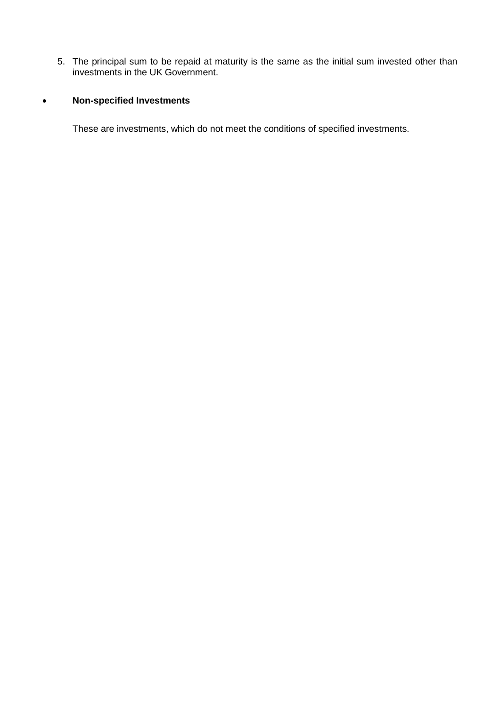5. The principal sum to be repaid at maturity is the same as the initial sum invested other than investments in the UK Government.

# **Non-specified Investments**

These are investments, which do not meet the conditions of specified investments.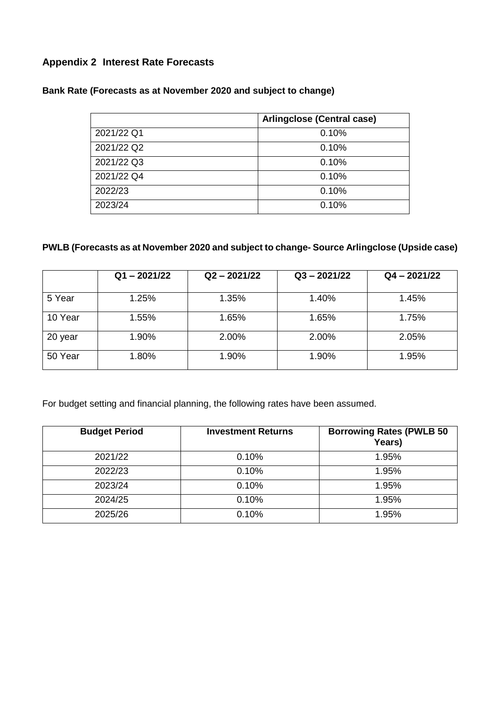# **Appendix 2 Interest Rate Forecasts**

# **Bank Rate (Forecasts as at November 2020 and subject to change)**

|            | Arlingclose (Central case) |  |  |
|------------|----------------------------|--|--|
| 2021/22 Q1 | 0.10%                      |  |  |
| 2021/22 Q2 | 0.10%                      |  |  |
| 2021/22 Q3 | 0.10%                      |  |  |
| 2021/22 Q4 | 0.10%                      |  |  |
| 2022/23    | 0.10%                      |  |  |
| 2023/24    | 0.10%                      |  |  |

# **PWLB (Forecasts as at November 2020 and subject to change- Source Arlingclose (Upside case)**

|         | $Q1 - 2021/22$ | $Q2 - 2021/22$ | $Q3 - 2021/22$ | $Q4 - 2021/22$ |
|---------|----------------|----------------|----------------|----------------|
| 5 Year  | 1.25%          | 1.35%          | 1.40%          | 1.45%          |
| 10 Year | 1.55%          | 1.65%          | 1.65%          | 1.75%          |
| 20 year | 1.90%          | 2.00%          | 2.00%          | 2.05%          |
| 50 Year | 1.80%          | 1.90%          | 1.90%          | 1.95%          |

For budget setting and financial planning, the following rates have been assumed.

| <b>Budget Period</b> | <b>Investment Returns</b> | <b>Borrowing Rates (PWLB 50</b><br>Years) |
|----------------------|---------------------------|-------------------------------------------|
| 2021/22              | 0.10%                     | 1.95%                                     |
| 2022/23              | 0.10%                     | 1.95%                                     |
| 2023/24              | 0.10%                     | 1.95%                                     |
| 2024/25              | 0.10%                     | 1.95%                                     |
| 2025/26              | 0.10%                     | 1.95%                                     |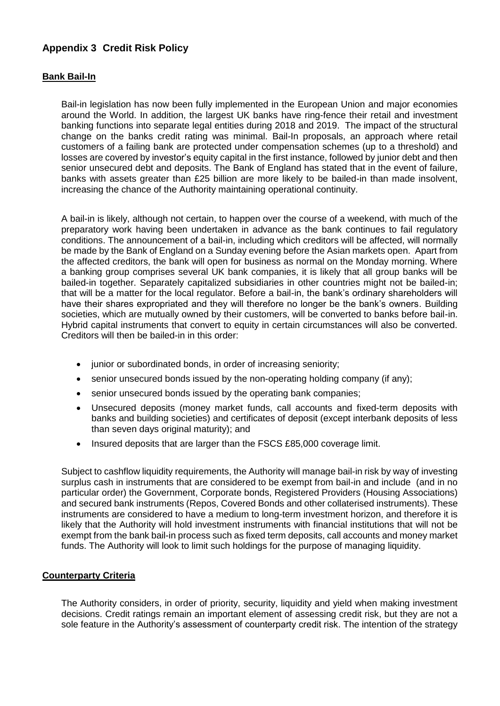# **Appendix 3 Credit Risk Policy**

## **Bank Bail-In**

Bail-in legislation has now been fully implemented in the European Union and major economies around the World. In addition, the largest UK banks have ring-fence their retail and investment banking functions into separate legal entities during 2018 and 2019. The impact of the structural change on the banks credit rating was minimal. Bail-In proposals, an approach where retail customers of a failing bank are protected under compensation schemes (up to a threshold) and losses are covered by investor's equity capital in the first instance, followed by junior debt and then senior unsecured debt and deposits. The Bank of England has stated that in the event of failure, banks with assets greater than £25 billion are more likely to be bailed-in than made insolvent, increasing the chance of the Authority maintaining operational continuity.

A bail-in is likely, although not certain, to happen over the course of a weekend, with much of the preparatory work having been undertaken in advance as the bank continues to fail regulatory conditions. The announcement of a bail-in, including which creditors will be affected, will normally be made by the Bank of England on a Sunday evening before the Asian markets open. Apart from the affected creditors, the bank will open for business as normal on the Monday morning. Where a banking group comprises several UK bank companies, it is likely that all group banks will be bailed-in together. Separately capitalized subsidiaries in other countries might not be bailed-in; that will be a matter for the local regulator. Before a bail-in, the bank's ordinary shareholders will have their shares expropriated and they will therefore no longer be the bank's owners. Building societies, which are mutually owned by their customers, will be converted to banks before bail-in. Hybrid capital instruments that convert to equity in certain circumstances will also be converted. Creditors will then be bailed-in in this order:

- iunior or subordinated bonds, in order of increasing seniority;
- senior unsecured bonds issued by the non-operating holding company (if any);
- senior unsecured bonds issued by the operating bank companies;
- Unsecured deposits (money market funds, call accounts and fixed-term deposits with banks and building societies) and certificates of deposit (except interbank deposits of less than seven days original maturity); and
- Insured deposits that are larger than the FSCS £85,000 coverage limit.

Subject to cashflow liquidity requirements, the Authority will manage bail-in risk by way of investing surplus cash in instruments that are considered to be exempt from bail-in and include (and in no particular order) the Government, Corporate bonds, Registered Providers (Housing Associations) and secured bank instruments (Repos, Covered Bonds and other collaterised instruments). These instruments are considered to have a medium to long-term investment horizon, and therefore it is likely that the Authority will hold investment instruments with financial institutions that will not be exempt from the bank bail-in process such as fixed term deposits, call accounts and money market funds. The Authority will look to limit such holdings for the purpose of managing liquidity.

#### **Counterparty Criteria**

The Authority considers, in order of priority, security, liquidity and yield when making investment decisions. Credit ratings remain an important element of assessing credit risk, but they are not a sole feature in the Authority's assessment of counterparty credit risk. The intention of the strategy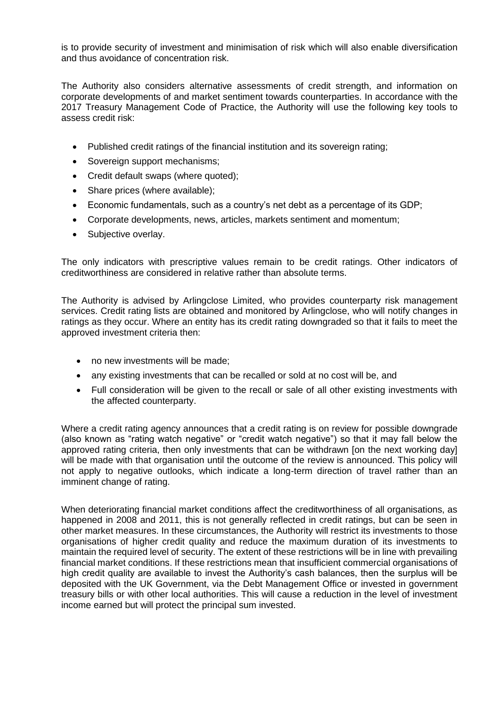is to provide security of investment and minimisation of risk which will also enable diversification and thus avoidance of concentration risk.

The Authority also considers alternative assessments of credit strength, and information on corporate developments of and market sentiment towards counterparties. In accordance with the 2017 Treasury Management Code of Practice, the Authority will use the following key tools to assess credit risk:

- Published credit ratings of the financial institution and its sovereign rating;
- Sovereign support mechanisms;
- Credit default swaps (where quoted);
- Share prices (where available);
- Economic fundamentals, such as a country's net debt as a percentage of its GDP;
- Corporate developments, news, articles, markets sentiment and momentum;
- Subjective overlay.

The only indicators with prescriptive values remain to be credit ratings. Other indicators of creditworthiness are considered in relative rather than absolute terms.

The Authority is advised by Arlingclose Limited, who provides counterparty risk management services. Credit rating lists are obtained and monitored by Arlingclose, who will notify changes in ratings as they occur. Where an entity has its credit rating downgraded so that it fails to meet the approved investment criteria then:

- no new investments will be made;
- any existing investments that can be recalled or sold at no cost will be, and
- Full consideration will be given to the recall or sale of all other existing investments with the affected counterparty.

Where a credit rating agency announces that a credit rating is on review for possible downgrade (also known as "rating watch negative" or "credit watch negative") so that it may fall below the approved rating criteria, then only investments that can be withdrawn [on the next working day] will be made with that organisation until the outcome of the review is announced. This policy will not apply to negative outlooks, which indicate a long-term direction of travel rather than an imminent change of rating.

When deteriorating financial market conditions affect the creditworthiness of all organisations, as happened in 2008 and 2011, this is not generally reflected in credit ratings, but can be seen in other market measures. In these circumstances, the Authority will restrict its investments to those organisations of higher credit quality and reduce the maximum duration of its investments to maintain the required level of security. The extent of these restrictions will be in line with prevailing financial market conditions. If these restrictions mean that insufficient commercial organisations of high credit quality are available to invest the Authority's cash balances, then the surplus will be deposited with the UK Government, via the Debt Management Office or invested in government treasury bills or with other local authorities. This will cause a reduction in the level of investment income earned but will protect the principal sum invested.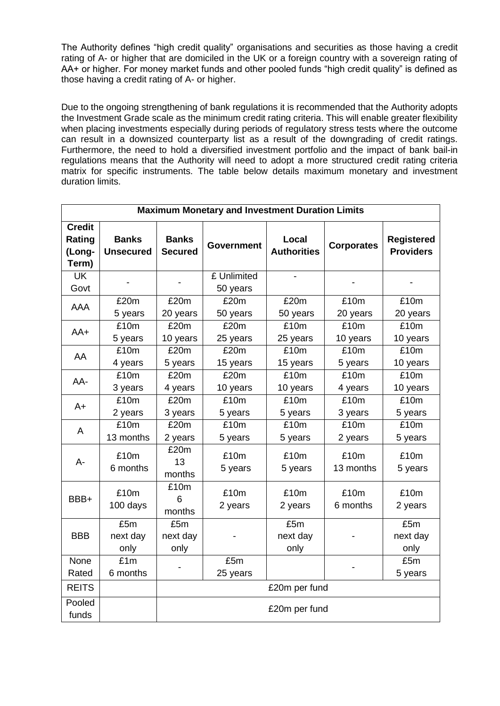The Authority defines "high credit quality" organisations and securities as those having a credit rating of A- or higher that are domiciled in the UK or a foreign country with a sovereign rating of AA+ or higher. For money market funds and other pooled funds "high credit quality" is defined as those having a credit rating of A- or higher.

Due to the ongoing strengthening of bank regulations it is recommended that the Authority adopts the Investment Grade scale as the minimum credit rating criteria. This will enable greater flexibility when placing investments especially during periods of regulatory stress tests where the outcome can result in a downsized counterparty list as a result of the downgrading of credit ratings. Furthermore, the need to hold a diversified investment portfolio and the impact of bank bail-in regulations means that the Authority will need to adopt a more structured credit rating criteria matrix for specific instruments. The table below details maximum monetary and investment duration limits.

| <b>Maximum Monetary and Investment Duration Limits</b> |                                  |                                |                               |                             |                   |                                       |
|--------------------------------------------------------|----------------------------------|--------------------------------|-------------------------------|-----------------------------|-------------------|---------------------------------------|
| <b>Credit</b><br>Rating<br>(Long-<br>Term)             | <b>Banks</b><br><b>Unsecured</b> | <b>Banks</b><br><b>Secured</b> | <b>Government</b>             | Local<br><b>Authorities</b> | <b>Corporates</b> | <b>Registered</b><br><b>Providers</b> |
| <b>UK</b><br>Govt                                      |                                  |                                | £ Unlimited<br>50 years       |                             |                   |                                       |
| AAA                                                    | £20m<br>5 years                  | £20m<br>20 years               | £20m<br>50 years              | £20m<br>50 years            | £10m<br>20 years  | £10m<br>20 years                      |
| $AA+$                                                  | £10m<br>5 years                  | £20m<br>10 years               | £20m<br>25 years              | £10m<br>25 years            | £10m<br>10 years  | £10m<br>10 years                      |
| AA                                                     | £10m<br>4 years                  | £20m<br>5 years                | £20m<br>15 years              | £10m<br>15 years            | £10m<br>5 years   | £10m<br>10 years                      |
| AA-                                                    | £10m<br>3 years                  | £20m<br>4 years                | £20m<br>10 years              | £10m<br>10 years            | £10m<br>4 years   | £10m<br>10 years                      |
| $A+$                                                   | £10m<br>2 years                  | £20m<br>3 years                | $\overline{£}$ 10m<br>5 years | £10m<br>5 years             | £10m<br>3 years   | £10m<br>5 years                       |
| A                                                      | £10m<br>13 months                | £20m<br>2 years                | £10m<br>5 years               | £10m<br>5 years             | £10m<br>2 years   | £10m<br>5 years                       |
| $A -$                                                  | £10m<br>6 months                 | £20m<br>13<br>months           | £10m<br>5 years               | £10m<br>5 years             | £10m<br>13 months | £10m<br>5 years                       |
| BBB+                                                   | £10m<br>100 days                 | £10m<br>6<br>months            | £10m<br>2 years               | £10m<br>2 years             | £10m<br>6 months  | £10m<br>2 years                       |
| <b>BBB</b>                                             | £5m<br>next day<br>only          | £5m<br>next day<br>only        |                               | £5m<br>next day<br>only     |                   | £5m<br>next day<br>only               |
| None<br>Rated                                          | £1m<br>6 months                  |                                | £5m<br>25 years               |                             |                   | £5m<br>5 years                        |
| <b>REITS</b>                                           |                                  | £20m per fund                  |                               |                             |                   |                                       |
| Pooled<br>funds                                        |                                  | £20m per fund                  |                               |                             |                   |                                       |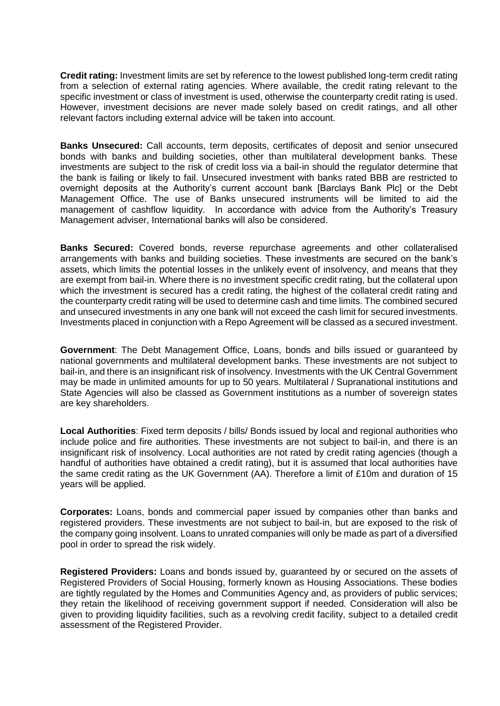**Credit rating:** Investment limits are set by reference to the lowest published long-term credit rating from a selection of external rating agencies. Where available, the credit rating relevant to the specific investment or class of investment is used, otherwise the counterparty credit rating is used. However, investment decisions are never made solely based on credit ratings, and all other relevant factors including external advice will be taken into account.

**Banks Unsecured:** Call accounts, term deposits, certificates of deposit and senior unsecured bonds with banks and building societies, other than multilateral development banks. These investments are subject to the risk of credit loss via a bail-in should the regulator determine that the bank is failing or likely to fail. Unsecured investment with banks rated BBB are restricted to overnight deposits at the Authority's current account bank [Barclays Bank Plc] or the Debt Management Office. The use of Banks unsecured instruments will be limited to aid the management of cashflow liquidity. In accordance with advice from the Authority's Treasury Management adviser, International banks will also be considered.

**Banks Secured:** Covered bonds, reverse repurchase agreements and other collateralised arrangements with banks and building societies. These investments are secured on the bank's assets, which limits the potential losses in the unlikely event of insolvency, and means that they are exempt from bail-in. Where there is no investment specific credit rating, but the collateral upon which the investment is secured has a credit rating, the highest of the collateral credit rating and the counterparty credit rating will be used to determine cash and time limits. The combined secured and unsecured investments in any one bank will not exceed the cash limit for secured investments. Investments placed in conjunction with a Repo Agreement will be classed as a secured investment.

**Government**: The Debt Management Office, Loans, bonds and bills issued or guaranteed by national governments and multilateral development banks. These investments are not subject to bail-in, and there is an insignificant risk of insolvency. Investments with the UK Central Government may be made in unlimited amounts for up to 50 years. Multilateral / Supranational institutions and State Agencies will also be classed as Government institutions as a number of sovereign states are key shareholders.

**Local Authorities**: Fixed term deposits / bills/ Bonds issued by local and regional authorities who include police and fire authorities. These investments are not subject to bail-in, and there is an insignificant risk of insolvency. Local authorities are not rated by credit rating agencies (though a handful of authorities have obtained a credit rating), but it is assumed that local authorities have the same credit rating as the UK Government (AA). Therefore a limit of £10m and duration of 15 years will be applied.

**Corporates:** Loans, bonds and commercial paper issued by companies other than banks and registered providers. These investments are not subject to bail-in, but are exposed to the risk of the company going insolvent. Loans to unrated companies will only be made as part of a diversified pool in order to spread the risk widely.

**Registered Providers:** Loans and bonds issued by, guaranteed by or secured on the assets of Registered Providers of Social Housing, formerly known as Housing Associations. These bodies are tightly regulated by the Homes and Communities Agency and, as providers of public services; they retain the likelihood of receiving government support if needed. Consideration will also be given to providing liquidity facilities, such as a revolving credit facility, subject to a detailed credit assessment of the Registered Provider.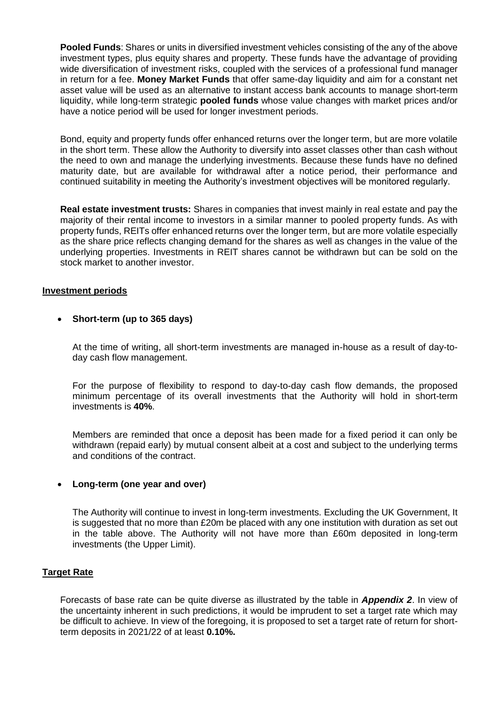**Pooled Funds**: Shares or units in diversified investment vehicles consisting of the any of the above investment types, plus equity shares and property. These funds have the advantage of providing wide diversification of investment risks, coupled with the services of a professional fund manager in return for a fee. **Money Market Funds** that offer same-day liquidity and aim for a constant net asset value will be used as an alternative to instant access bank accounts to manage short-term liquidity, while long-term strategic **pooled funds** whose value changes with market prices and/or have a notice period will be used for longer investment periods.

Bond, equity and property funds offer enhanced returns over the longer term, but are more volatile in the short term. These allow the Authority to diversify into asset classes other than cash without the need to own and manage the underlying investments. Because these funds have no defined maturity date, but are available for withdrawal after a notice period, their performance and continued suitability in meeting the Authority's investment objectives will be monitored regularly.

**Real estate investment trusts:** Shares in companies that invest mainly in real estate and pay the majority of their rental income to investors in a similar manner to pooled property funds. As with property funds, REITs offer enhanced returns over the longer term, but are more volatile especially as the share price reflects changing demand for the shares as well as changes in the value of the underlying properties. Investments in REIT shares cannot be withdrawn but can be sold on the stock market to another investor.

#### **Investment periods**

#### **Short-term (up to 365 days)**

At the time of writing, all short-term investments are managed in-house as a result of day-today cash flow management.

For the purpose of flexibility to respond to day-to-day cash flow demands, the proposed minimum percentage of its overall investments that the Authority will hold in short-term investments is **40%**.

Members are reminded that once a deposit has been made for a fixed period it can only be withdrawn (repaid early) by mutual consent albeit at a cost and subject to the underlying terms and conditions of the contract.

## **Long-term (one year and over)**

The Authority will continue to invest in long-term investments. Excluding the UK Government, It is suggested that no more than £20m be placed with any one institution with duration as set out in the table above. The Authority will not have more than £60m deposited in long-term investments (the Upper Limit).

## **Target Rate**

Forecasts of base rate can be quite diverse as illustrated by the table in *Appendix 2*. In view of the uncertainty inherent in such predictions, it would be imprudent to set a target rate which may be difficult to achieve. In view of the foregoing, it is proposed to set a target rate of return for shortterm deposits in 2021/22 of at least **0.10%.**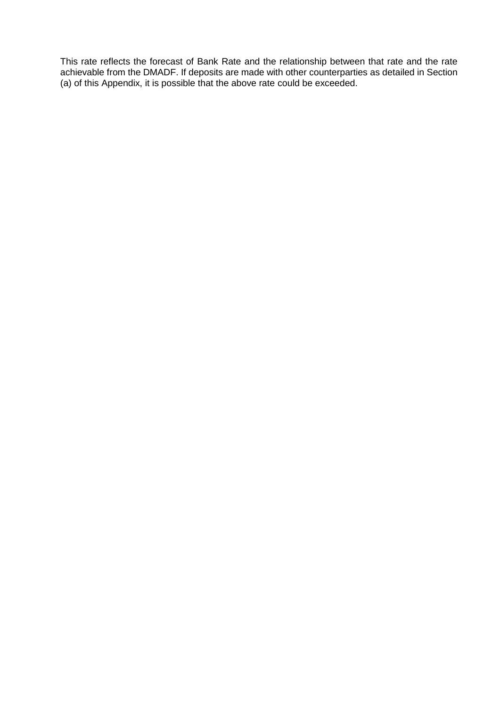This rate reflects the forecast of Bank Rate and the relationship between that rate and the rate achievable from the DMADF. If deposits are made with other counterparties as detailed in Section (a) of this Appendix, it is possible that the above rate could be exceeded.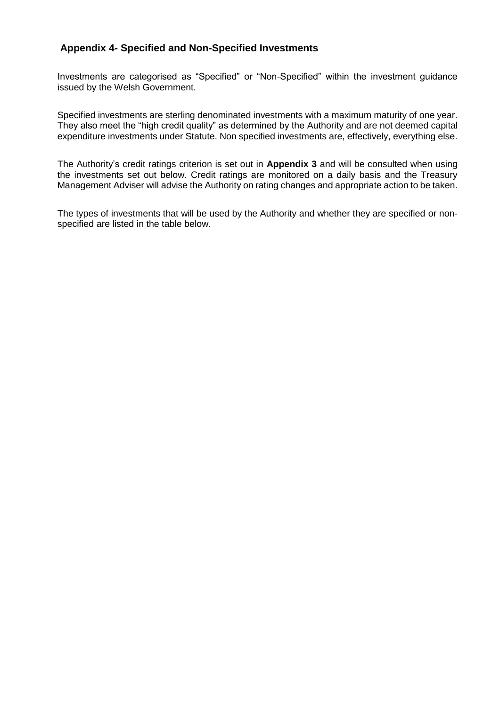# **Appendix 4- Specified and Non-Specified Investments**

Investments are categorised as "Specified" or "Non-Specified" within the investment guidance issued by the Welsh Government.

Specified investments are sterling denominated investments with a maximum maturity of one year. They also meet the "high credit quality" as determined by the Authority and are not deemed capital expenditure investments under Statute. Non specified investments are, effectively, everything else.

The Authority's credit ratings criterion is set out in **Appendix 3** and will be consulted when using the investments set out below. Credit ratings are monitored on a daily basis and the Treasury Management Adviser will advise the Authority on rating changes and appropriate action to be taken.

The types of investments that will be used by the Authority and whether they are specified or nonspecified are listed in the table below.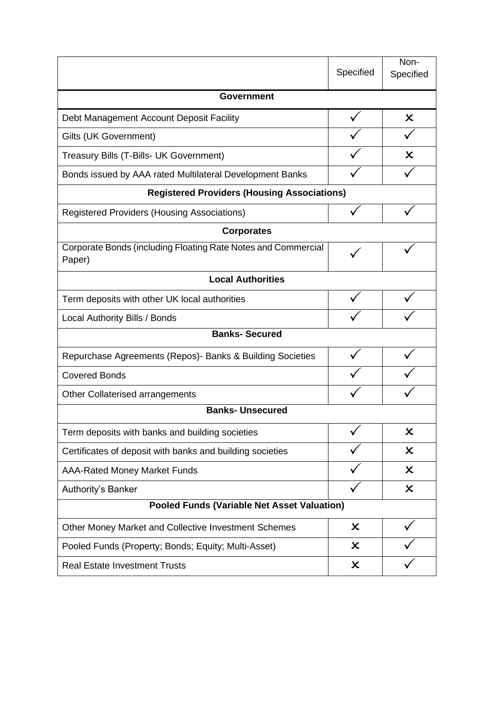|                                                                         | Specified                 | Non-<br>Specified         |  |  |
|-------------------------------------------------------------------------|---------------------------|---------------------------|--|--|
| <b>Government</b>                                                       |                           |                           |  |  |
| Debt Management Account Deposit Facility                                |                           | $\boldsymbol{\mathsf{x}}$ |  |  |
| Gilts (UK Government)                                                   |                           |                           |  |  |
| Treasury Bills (T-Bills- UK Government)                                 |                           | Х                         |  |  |
| Bonds issued by AAA rated Multilateral Development Banks                |                           |                           |  |  |
| <b>Registered Providers (Housing Associations)</b>                      |                           |                           |  |  |
| <b>Registered Providers (Housing Associations)</b>                      |                           |                           |  |  |
| <b>Corporates</b>                                                       |                           |                           |  |  |
| Corporate Bonds (including Floating Rate Notes and Commercial<br>Paper) |                           |                           |  |  |
| <b>Local Authorities</b>                                                |                           |                           |  |  |
| Term deposits with other UK local authorities                           |                           |                           |  |  |
| <b>Local Authority Bills / Bonds</b>                                    |                           |                           |  |  |
| <b>Banks-Secured</b>                                                    |                           |                           |  |  |
| Repurchase Agreements (Repos) - Banks & Building Societies              |                           |                           |  |  |
| <b>Covered Bonds</b>                                                    |                           |                           |  |  |
| Other Collaterised arrangements                                         |                           |                           |  |  |
| <b>Banks-Unsecured</b>                                                  |                           |                           |  |  |
| Term deposits with banks and building societies                         |                           | $\boldsymbol{\mathsf{x}}$ |  |  |
| Certificates of deposit with banks and building societies               |                           | $\boldsymbol{\mathsf{x}}$ |  |  |
| <b>AAA-Rated Money Market Funds</b>                                     |                           | $\boldsymbol{\mathsf{x}}$ |  |  |
| Authority's Banker                                                      |                           | $\boldsymbol{\mathsf{x}}$ |  |  |
| <b>Pooled Funds (Variable Net Asset Valuation)</b>                      |                           |                           |  |  |
| Other Money Market and Collective Investment Schemes                    | $\boldsymbol{\mathsf{x}}$ |                           |  |  |
| Pooled Funds (Property; Bonds; Equity; Multi-Asset)                     | X                         |                           |  |  |
| <b>Real Estate Investment Trusts</b>                                    | $\boldsymbol{\mathsf{x}}$ |                           |  |  |